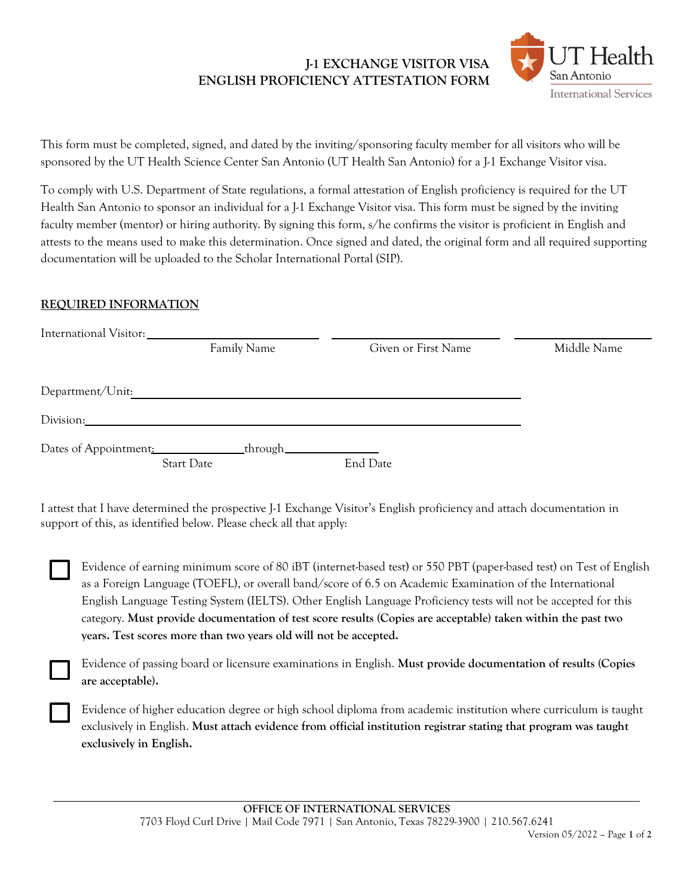## **J-1 EXCHANGE VISITOR VISA ENGLISH PROFICIENCY ATTESTATION FORM**



This form must be completed, signed, and dated by the inviting/sponsoring faculty member for all visitors who will be sponsored by the UT Health Science Center San Antonio (UT Health San Antonio) for a J-1 Exchange Visitor visa.

To comply with U.S. Department of State regulations, a formal attestation of English proficiency is required for the UT Health San Antonio to sponsor an individual for a J-1 Exchange Visitor visa. This form must be signed by the inviting faculty member (mentor) or hiring authority. By signing this form, s/he confirms the visitor is proficient in English and attests to the means used to make this determination. Once signed and dated, the original form and all required supporting documentation will be uploaded to the Scholar International Portal (SIP).

## **REQUIRED INFORMATION**

| International Visitor: |                                    |                     |             |
|------------------------|------------------------------------|---------------------|-------------|
|                        | Family Name                        | Given or First Name | Middle Name |
|                        |                                    |                     |             |
| Department/Unit:       |                                    |                     |             |
| Division:              |                                    |                     |             |
| Dates of Appointment:  | _through_____<br><b>Start Date</b> | End Date            |             |
|                        |                                    |                     |             |

I attest that I have determined the prospective J-1 Exchange Visitor's English proficiency and attach documentation in support of this, as identified below. Please check all that apply:

Evidence of earning minimum score of 80 iBT (internet-based test) or 550 PBT (paper-based test) on Test of English as a Foreign Language (TOEFL), or overall band/score of 6.5 on Academic Examination of the International English Language Testing System (IELTS). Other English Language Proficiency tests will not be accepted for this category. **Must provide documentation of test score results (Copies are acceptable) taken within the past two years. Test scores more than two years old will not be accepted.** 

Evidence of passing board or licensure examinations in English. **Must provide documentation of results (Copies are acceptable).** 

Evidence of higher education degree or high school diploma from academic institution where curriculum is taught exclusively in English. **Must attach evidence from official institution registrar stating that program was taught exclusively in English.**